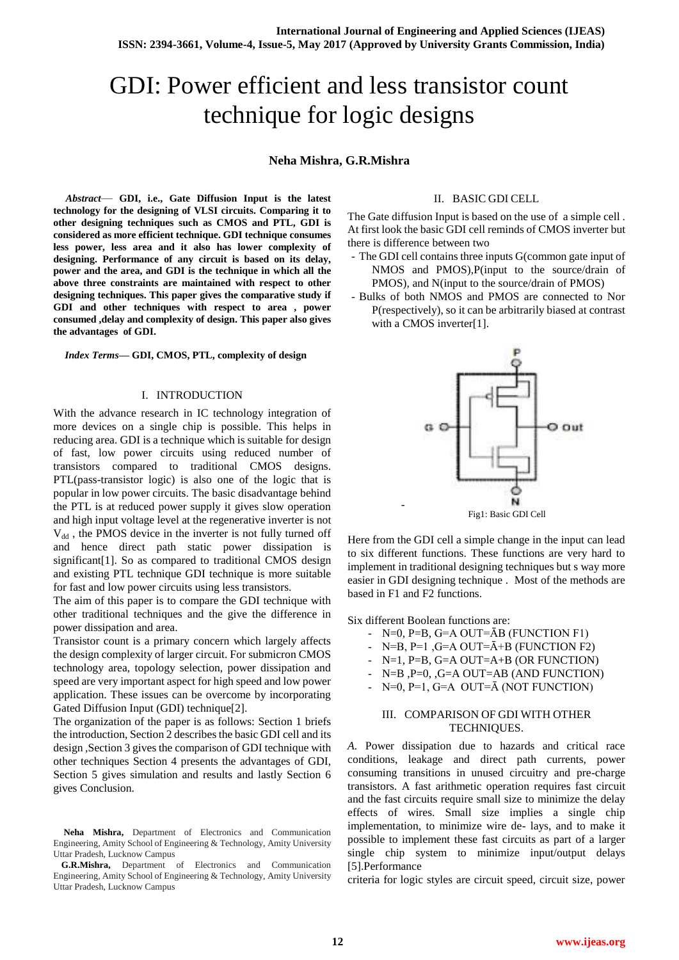# GDI: Power efficient and less transistor count technique for logic designs

## **Neha Mishra, G.R.Mishra**

*Abstract*— **GDI, i.e., Gate Diffusion Input is the latest technology for the designing of VLSI circuits. Comparing it to other designing techniques such as CMOS and PTL, GDI is considered as more efficient technique. GDI technique consumes less power, less area and it also has lower complexity of designing. Performance of any circuit is based on its delay, power and the area, and GDI is the technique in which all the above three constraints are maintained with respect to other designing techniques. This paper gives the comparative study if GDI and other techniques with respect to area , power consumed ,delay and complexity of design. This paper also gives the advantages of GDI.**

*Index Terms***— GDI, CMOS, PTL, complexity of design**

### I. INTRODUCTION

With the advance research in IC technology integration of more devices on a single chip is possible. This helps in reducing area. GDI is a technique which is suitable for design of fast, low power circuits using reduced number of transistors compared to traditional CMOS designs. PTL(pass-transistor logic) is also one of the logic that is popular in low power circuits. The basic disadvantage behind the PTL is at reduced power supply it gives slow operation and high input voltage level at the regenerative inverter is not  $V_{dd}$ , the PMOS device in the inverter is not fully turned off and hence direct path static power dissipation is significant[1]. So as compared to traditional CMOS design and existing PTL technique GDI technique is more suitable for fast and low power circuits using less transistors.

The aim of this paper is to compare the GDI technique with other traditional techniques and the give the difference in power dissipation and area.

Transistor count is a primary concern which largely affects the design complexity of larger circuit. For submicron CMOS technology area, topology selection, power dissipation and speed are very important aspect for high speed and low power application. These issues can be overcome by incorporating Gated Diffusion Input (GDI) technique[2].

The organization of the paper is as follows: Section 1 briefs the introduction, Section 2 describes the basic GDI cell and its design ,Section 3 gives the comparison of GDI technique with other techniques Section 4 presents the advantages of GDI, Section 5 gives simulation and results and lastly Section 6 gives Conclusion.

## II. BASIC GDI CELL

The Gate diffusion Input is based on the use of a simple cell . At first look the basic GDI cell reminds of CMOS inverter but there is difference between two

- The GDI cell contains three inputs G(common gate input of NMOS and PMOS),P(input to the source/drain of PMOS), and N(input to the source/drain of PMOS)
- Bulks of both NMOS and PMOS are connected to Nor P(respectively), so it can be arbitrarily biased at contrast with a CMOS inverter[1].



Here from the GDI cell a simple change in the input can lead to six different functions. These functions are very hard to implement in traditional designing techniques but s way more

easier in GDI designing technique . Most of the methods are

Six different Boolean functions are:

based in F1 and F2 functions.

-

- N=0, P=B, G=A OUT= $\bar{A}B$  (FUNCTION F1)
- N=B, P=1, G=A OUT= $\overline{A}$ +B (FUNCTION F2)
- N=1, P=B, G=A OUT=A+B (OR FUNCTION)
- N=B ,P=0, ,G=A OUT=AB (AND FUNCTION)
- $N=0$ , P=1, G=A OUT= $\overline{A}$  (NOT FUNCTION)

## III. COMPARISON OF GDI WITH OTHER TECHNIQUES.

*A.* Power dissipation due to hazards and critical race conditions, leakage and direct path currents, power consuming transitions in unused circuitry and pre-charge transistors. A fast arithmetic operation requires fast circuit and the fast circuits require small size to minimize the delay effects of wires. Small size implies a single chip implementation, to minimize wire de- lays, and to make it possible to implement these fast circuits as part of a larger single chip system to minimize input/output delays [5].Performance

criteria for logic styles are circuit speed, circuit size, power

**Neha Mishra,** Department of Electronics and Communication Engineering, Amity School of Engineering & Technology, Amity University Uttar Pradesh, Lucknow Campus

**G.R.Mishra,** Department of Electronics and Communication Engineering, Amity School of Engineering & Technology, Amity University Uttar Pradesh, Lucknow Campus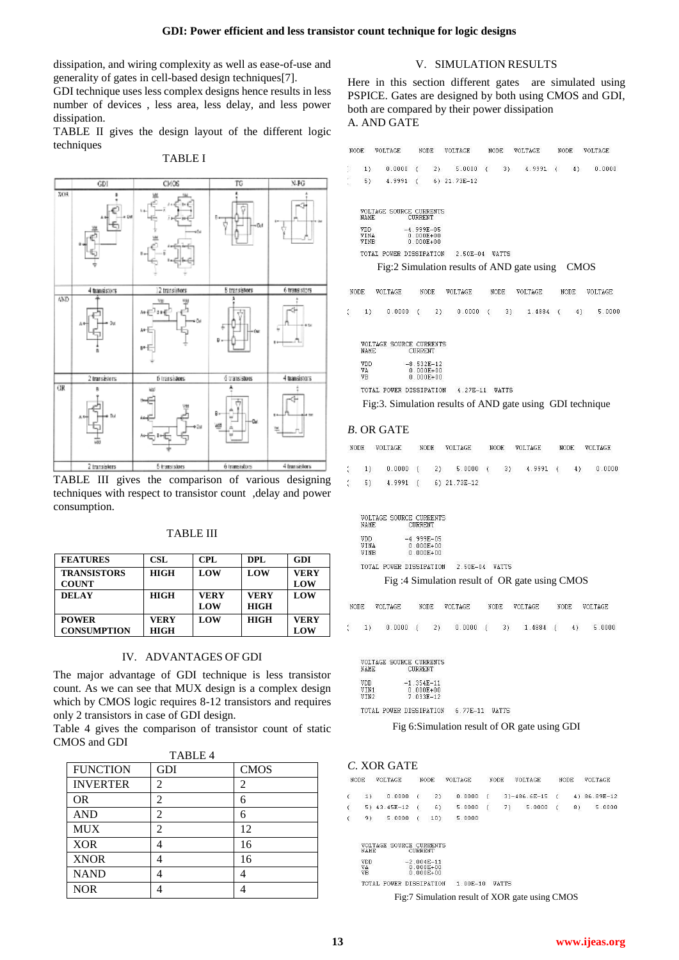dissipation, and wiring complexity as well as ease-of-use and generality of gates in cell-based design techniques[7].

GDI technique uses less complex designs hence results in less number of devices , less area, less delay, and less power dissipation.

TABLE II gives the design layout of the different logic techniques



TABLE I

## TABLE III gives the comparison of various designing techniques with respect to transistor count ,delay and power consumption.

| <b>FEATURES</b>                    | <b>CSL</b>          | CPL                | DPL                        | GDI                |
|------------------------------------|---------------------|--------------------|----------------------------|--------------------|
| <b>TRANSISTORS</b><br><b>COUNT</b> | <b>HIGH</b>         | LOW                | LOW                        | <b>VERY</b><br>LOW |
| DELAY                              | <b>HIGH</b>         | <b>VERY</b><br>LOW | <b>VERY</b><br><b>HIGH</b> | LOW                |
| <b>POWER</b><br><b>CONSUMPTION</b> | <b>VERY</b><br>HIGH | LOW                | <b>HIGH</b>                | <b>VERY</b><br>LOW |

#### TABLE III

# IV. ADVANTAGES OF GDI

The major advantage of GDI technique is less transistor count. As we can see that MUX design is a complex design which by CMOS logic requires 8-12 transistors and requires only 2 transistors in case of GDI design.

Table 4 gives the comparison of transistor count of static CMOS and GDI  $\overline{a}$  ,  $\overline{a}$  ,  $\overline{a}$ 

| <b>FUNCTION</b> | TABLE 4<br>GDI | <b>CMOS</b> |
|-----------------|----------------|-------------|
| <b>INVERTER</b> | 2              | 2           |
| <b>OR</b>       | 2              | 6           |
| <b>AND</b>      | 2              | 6           |
| <b>MUX</b>      | 2              | 12          |
| <b>XOR</b>      | 4              | 16          |
| <b>XNOR</b>     |                | 16          |
| <b>NAND</b>     |                | Λ           |
| <b>NOR</b>      |                |             |

#### V. SIMULATION RESULTS

Here in this section different gates are simulated using PSPICE. Gates are designed by both using CMOS and GDI, both are compared by their power dissipation A. AND GATE

|  | $1) 0.0000 (2) 5.0000 (3) 4.9991 (4) 0.0000$ |  |  |  |  |  |
|--|----------------------------------------------|--|--|--|--|--|
|  | 5) $4.9991$ (6) $21.73E-12$                  |  |  |  |  |  |



TOTAL POWER DISSIPATION 2.50E-04 WATTS

Fig:2 Simulation results of AND gate using CMOS

 $\texttt{NODE}$ VOLTAGE NODE VOLTAGE NODE VOLTAGE NODE: VOLTAGE

 $\overline{1}$ n noon  $21$ n noon  $\overline{1}$  $31$ 1 4884  $\overline{1}$  $41$  $5 - 0000$ 

VOLTAGE SOURCE CURRENTS<br>NAME CURRENT

| VDD | $-8.532E-12$  |
|-----|---------------|
| VA  | $0.000E + 00$ |
| VR  | $0.000E + 00$ |
|     |               |

TOTAL POWER DISSIPATION 4.27E-11 WATTS

Fig:3. Simulation results of AND gate using GDI technique

# *B*. OR GATE

 $\verb|NODE| \hspace{0.6cm} \verb|VOLTAGE|$ NODE VOLTAGE **NODE** VOLTAGE NODE  $\mathtt{VOLTAGE}$ 

 $1)$  $0.0000$  $\sqrt{ }$  $2)$  $5.0000 ($  $3)$ 4.9991  $\sqrt{ }$  $4)$  $0.0000$  $5)$ 4.9991  $\sqrt{ }$ 6) 21.73E-12

VOLTAGE SOURCE CURRENTS **NAME** 

| $-4.999E - 05$ |
|----------------|
| 0 000E+00      |
| $0.000E + 00$  |
|                |

TOTAL POWER DISSIPATION 2.50E-04 WATTS

Fig :4 Simulation result of OR gate using CMOS

VOLTAGE VOLTAGE NODE **NODE VOLTAGE** NODE. VOLTAGE NODE:

 $1)$  $0.0000$  $\epsilon$  $2)$  $0.0000$  $\epsilon$  $3)$  $1.4884$  (  $4)$  $5.0000$ 

| <b>VOLTAGE SOURCE CURRENTS</b><br><b>CURRENT</b> |
|--------------------------------------------------|
| $-1.354E-11$                                     |
| $0.000E + 00$                                    |
| 7 033E-12                                        |
|                                                  |

TOTAL POWER DISSIPATION 6.77E-11 WATTS

Fig 6:Simulation result of OR gate using GDI

### *C*. XOR GATE

| <b>NODE</b> | VOLTAGE                                           | NODE | VOLTAGE NODE VOLTAGE |  |  | <b>NODE</b> | VOLTAGE |
|-------------|---------------------------------------------------|------|----------------------|--|--|-------------|---------|
|             | 1) 0.0000 (2) 0.0000 (3) -486.6E-15 (4) 86.89E-12 |      |                      |  |  |             |         |
|             | 5) 43.45E-12 (6) 5.0000 (7) 5.0000 (8) 5.0000     |      |                      |  |  |             |         |
|             | $(9)$ 5.0000 (10) 5.0000                          |      |                      |  |  |             |         |

| IAME. | OLTAGE SOURCE CURRENTS<br><b>CHRRENT</b> |
|-------|------------------------------------------|
| 'DD   | $-2.004E-11$                             |
| ľÀ    | A AAAE+AA                                |
| FR.   | $0.000E + 00$                            |
|       |                                          |

TOTAL POWER DISSIPATION 1.00E-10 WATTS

Fig:7 Simulation result of XOR gate using CMOS